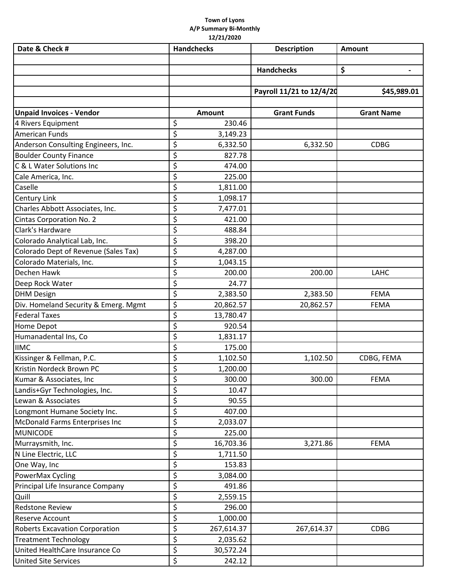## **Town of Lyons A/P Summary Bi‐Monthly 12/21/2020**

| Date & Check #                        | <b>Handchecks</b> | <b>Description</b>       | <b>Amount</b>     |  |
|---------------------------------------|-------------------|--------------------------|-------------------|--|
|                                       |                   |                          |                   |  |
|                                       |                   | <b>Handchecks</b>        | \$                |  |
|                                       |                   |                          |                   |  |
|                                       |                   | Payroll 11/21 to 12/4/20 | \$45,989.01       |  |
|                                       |                   |                          |                   |  |
| <b>Unpaid Invoices - Vendor</b>       | Amount            | <b>Grant Funds</b>       | <b>Grant Name</b> |  |
| 4 Rivers Equipment                    | \$<br>230.46      |                          |                   |  |
| <b>American Funds</b>                 | \$<br>3,149.23    |                          |                   |  |
| Anderson Consulting Engineers, Inc.   | \$<br>6,332.50    | 6,332.50                 | <b>CDBG</b>       |  |
| <b>Boulder County Finance</b>         | \$<br>827.78      |                          |                   |  |
| C & L Water Solutions Inc             | \$<br>474.00      |                          |                   |  |
| Cale America, Inc.                    | \$<br>225.00      |                          |                   |  |
| Caselle                               | \$<br>1,811.00    |                          |                   |  |
| <b>Century Link</b>                   | \$<br>1,098.17    |                          |                   |  |
| Charles Abbott Associates, Inc.       | \$<br>7,477.01    |                          |                   |  |
| Cintas Corporation No. 2              | \$<br>421.00      |                          |                   |  |
| Clark's Hardware                      | \$<br>488.84      |                          |                   |  |
| Colorado Analytical Lab, Inc.         | \$<br>398.20      |                          |                   |  |
| Colorado Dept of Revenue (Sales Tax)  | \$<br>4,287.00    |                          |                   |  |
| Colorado Materials, Inc.              | \$<br>1,043.15    |                          |                   |  |
| Dechen Hawk                           | \$<br>200.00      | 200.00                   | LAHC              |  |
| Deep Rock Water                       | \$<br>24.77       |                          |                   |  |
| <b>DHM Design</b>                     | \$<br>2,383.50    | 2,383.50                 | <b>FEMA</b>       |  |
| Div. Homeland Security & Emerg. Mgmt  | \$<br>20,862.57   | 20,862.57                | <b>FEMA</b>       |  |
| <b>Federal Taxes</b>                  | \$<br>13,780.47   |                          |                   |  |
| Home Depot                            | \$<br>920.54      |                          |                   |  |
| Humanadental Ins, Co                  | \$<br>1,831.17    |                          |                   |  |
| <b>IIMC</b>                           | \$<br>175.00      |                          |                   |  |
| Kissinger & Fellman, P.C.             | \$<br>1,102.50    | 1,102.50                 | CDBG, FEMA        |  |
| Kristin Nordeck Brown PC              | \$<br>1,200.00    |                          |                   |  |
| Kumar & Associates, Inc.              | \$<br>300.00      | 300.00                   | <b>FEMA</b>       |  |
| Landis+Gyr Technologies, Inc.         | \$<br>10.47       |                          |                   |  |
| Lewan & Associates                    | \$<br>90.55       |                          |                   |  |
| Longmont Humane Society Inc.          | \$<br>407.00      |                          |                   |  |
| McDonald Farms Enterprises Inc        | \$<br>2,033.07    |                          |                   |  |
| <b>MUNICODE</b>                       | \$<br>225.00      |                          |                   |  |
| Murraysmith, Inc.                     | \$<br>16,703.36   | 3,271.86                 | <b>FEMA</b>       |  |
| N Line Electric, LLC                  | \$<br>1,711.50    |                          |                   |  |
| One Way, Inc                          | \$<br>153.83      |                          |                   |  |
| PowerMax Cycling                      | \$<br>3,084.00    |                          |                   |  |
| Principal Life Insurance Company      | \$<br>491.86      |                          |                   |  |
| Quill                                 | \$<br>2,559.15    |                          |                   |  |
| <b>Redstone Review</b>                | \$<br>296.00      |                          |                   |  |
| <b>Reserve Account</b>                | \$<br>1,000.00    |                          |                   |  |
| <b>Roberts Excavation Corporation</b> | \$<br>267,614.37  | 267,614.37               | <b>CDBG</b>       |  |
| <b>Treatment Technology</b>           | \$<br>2,035.62    |                          |                   |  |
| United HealthCare Insurance Co        | \$<br>30,572.24   |                          |                   |  |
| <b>United Site Services</b>           | \$<br>242.12      |                          |                   |  |